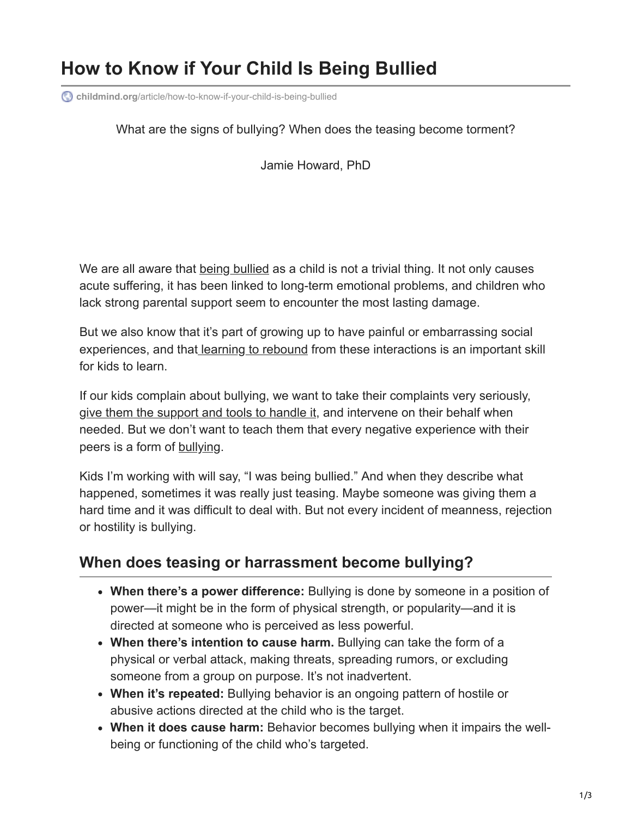# **How to Know if Your Child Is Being Bullied**

**childmind.org**[/article/how-to-know-if-your-child-is-being-bullied](https://childmind.org/article/how-to-know-if-your-child-is-being-bullied/)

#### What are the signs of bullying? When does the teasing become torment?

Jamie Howard, PhD

We are all aware that [being bullied](https://childmind.org/topics/concerns/bullying/) as a child is not a trivial thing. It not only causes acute suffering, it has been linked to long-term emotional problems, and children who lack strong parental support seem to encounter the most lasting damage.

But we also know that it's part of growing up to have painful or embarrassing social experiences, and that [learning to rebound](https://childmind.org/article/foster-resilience-kids/) from these interactions is an important skill for kids to learn.

If our kids complain about bullying, we want to take their complaints very seriously, [give them the support and tools to handle it,](https://childmind.org/article/how-to-arm-your-child-against-bullying/) and intervene on their behalf when needed. But we don't want to teach them that every negative experience with their peers is a form of [bullying.](https://childmind.org/topics/concerns/bullying/)

Kids I'm working with will say, "I was being bullied." And when they describe what happened, sometimes it was really just teasing. Maybe someone was giving them a hard time and it was difficult to deal with. But not every incident of meanness, rejection or hostility is bullying.

### **When does teasing or harrassment become bullying?**

- **When there's a power difference:** Bullying is done by someone in a position of power—it might be in the form of physical strength, or popularity—and it is directed at someone who is perceived as less powerful.
- **When there's intention to cause harm.** Bullying can take the form of a physical or verbal attack, making threats, spreading rumors, or excluding someone from a group on purpose. It's not inadvertent.
- **When it's repeated:** Bullying behavior is an ongoing pattern of hostile or abusive actions directed at the child who is the target.
- **When it does cause harm:** Behavior becomes bullying when it impairs the wellbeing or functioning of the child who's targeted.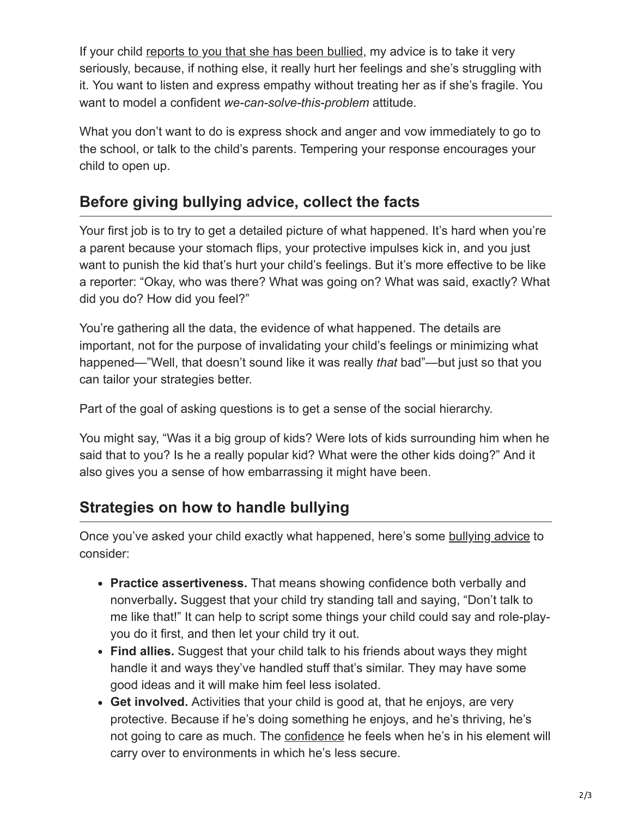If your child [reports to you that she has been bullied,](https://childmind.org/article/how-to-know-if-your-child-is-being-bullied/) my advice is to take it very seriously, because, if nothing else, it really hurt her feelings and she's struggling with it. You want to listen and express empathy without treating her as if she's fragile. You want to model a confident *we-can-solve-this-problem* attitude.

What you don't want to do is express shock and anger and vow immediately to go to the school, or talk to the child's parents. Tempering your response encourages your child to open up.

## **Before giving bullying advice, collect the facts**

Your first job is to try to get a detailed picture of what happened. It's hard when you're a parent because your stomach flips, your protective impulses kick in, and you just want to punish the kid that's hurt your child's feelings. But it's more effective to be like a reporter: "Okay, who was there? What was going on? What was said, exactly? What did you do? How did you feel?"

You're gathering all the data, the evidence of what happened. The details are important, not for the purpose of invalidating your child's feelings or minimizing what happened—"Well, that doesn't sound like it was really *that* bad"—but just so that you can tailor your strategies better.

Part of the goal of asking questions is to get a sense of the social hierarchy.

You might say, "Was it a big group of kids? Were lots of kids surrounding him when he said that to you? Is he a really popular kid? What were the other kids doing?" And it also gives you a sense of how embarrassing it might have been.

# **Strategies on how to handle bullying**

Once you've asked your child exactly what happened, here's some [bullying advice](https://childmind.org/article/how-to-arm-your-child-against-bullying/) to consider:

- **Practice assertiveness.** That means showing confidence both verbally and nonverbally**.** Suggest that your child try standing tall and saying, "Don't talk to me like that!" It can help to script some things your child could say and role-playyou do it first, and then let your child try it out.
- **Find allies.** Suggest that your child talk to his friends about ways they might handle it and ways they've handled stuff that's similar. They may have some good ideas and it will make him feel less isolated.
- **Get involved.** Activities that your child is good at, that he enjoys, are very protective. Because if he's doing something he enjoys, and he's thriving, he's not going to care as much. The [confidence](https://childmind.org/topics/concerns/confidence-self-esteem/) he feels when he's in his element will carry over to environments in which he's less secure.